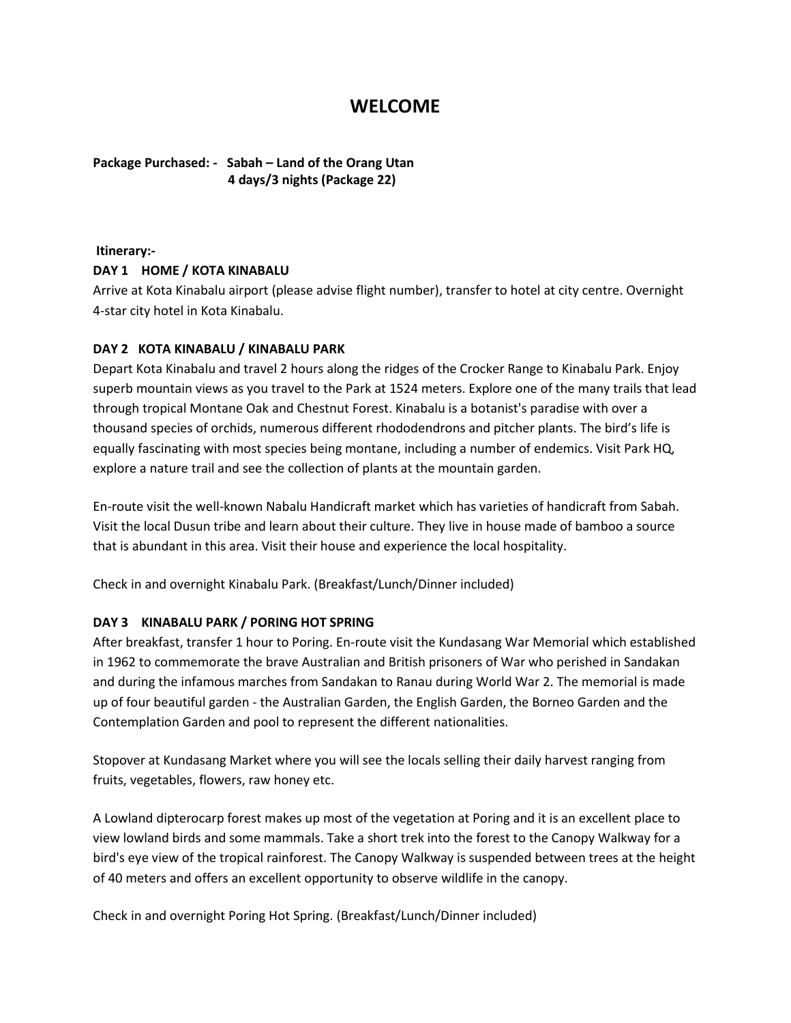# **WELCOME**

**Package Purchased: - Sabah – Land of the Orang Utan 4 days/3 nights (Package 22)**

## **Itinerary:-**

#### **DAY 1 HOME / KOTA KINABALU**

Arrive at Kota Kinabalu airport (please advise flight number), transfer to hotel at city centre. Overnight 4-star city hotel in Kota Kinabalu.

#### **DAY 2 KOTA KINABALU / KINABALU PARK**

Depart Kota Kinabalu and travel 2 hours along the ridges of the Crocker Range to Kinabalu Park. Enjoy superb mountain views as you travel to the Park at 1524 meters. Explore one of the many trails that lead through tropical Montane Oak and Chestnut Forest. Kinabalu is a botanist's paradise with over a thousand species of orchids, numerous different rhododendrons and pitcher plants. The bird's life is equally fascinating with most species being montane, including a number of endemics. Visit Park HQ, explore a nature trail and see the collection of plants at the mountain garden.

En-route visit the well-known Nabalu Handicraft market which has varieties of handicraft from Sabah. Visit the local Dusun tribe and learn about their culture. They live in house made of bamboo a source that is abundant in this area. Visit their house and experience the local hospitality.

Check in and overnight Kinabalu Park. (Breakfast/Lunch/Dinner included)

## **DAY 3 KINABALU PARK / PORING HOT SPRING**

After breakfast, transfer 1 hour to Poring. En-route visit the Kundasang War Memorial which established in 1962 to commemorate the brave Australian and British prisoners of War who perished in Sandakan and during the infamous marches from Sandakan to Ranau during World War 2. The memorial is made up of four beautiful garden - the Australian Garden, the English Garden, the Borneo Garden and the Contemplation Garden and pool to represent the different nationalities.

Stopover at Kundasang Market where you will see the locals selling their daily harvest ranging from fruits, vegetables, flowers, raw honey etc.

A Lowland dipterocarp forest makes up most of the vegetation at Poring and it is an excellent place to view lowland birds and some mammals. Take a short trek into the forest to the Canopy Walkway for a bird's eye view of the tropical rainforest. The Canopy Walkway is suspended between trees at the height of 40 meters and offers an excellent opportunity to observe wildlife in the canopy.

Check in and overnight Poring Hot Spring. (Breakfast/Lunch/Dinner included)